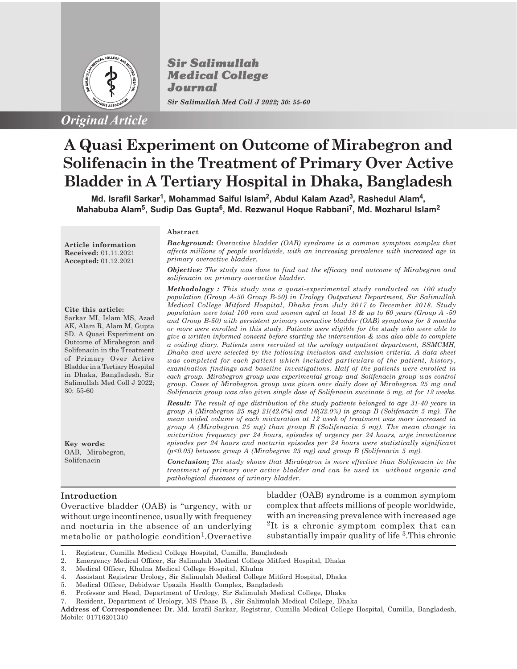

**Sir Salimullah Medical College** Journal *Sir Salimullah Med Coll J 2022; 30: 55-60*

# **A Quasi Experiment on Outcome of Mirabegron and Solifenacin in the Treatment of Primary Over Active Bladder in A Tertiary Hospital in Dhaka, Bangladesh**

**Md. Israfil Sarkar<sup>1</sup> , Mohammad Saiful Islam<sup>2</sup> , Abdul Kalam Azad<sup>3</sup> , Rashedul Alam<sup>4</sup> , Mahabuba Alam<sup>5</sup> , Sudip Das Gupta<sup>6</sup> , Md. Rezwanul Hoque Rabbani<sup>7</sup> , Md. Mozharul Islam<sup>2</sup>**

**Article information Received:** 01.11.2021

## **Cite this article:**

**Accepted:** 01.12.2021

Sarkar MI, Islam MS, Azad AK, Alam R, Alam M, Gupta SD. A Quasi Experiment on Outcome of Mirabegron and Solifenacin in the Treatment of Primary Over Active Bladder in a Tertiary Hospital in Dhaka, Bangladesh. Sir Salimullah Med Coll J 2022; 30: 55-60

**Key words:** OAB, Mirabegron, Solifenacin

**Abstract**

*Background: Overactive bladder (OAB) syndrome is a common symptom complex that affects millions of people worldwide, with an increasing prevalence with increased age in primary overactive bladder.*

*Objective: The study was done to find out the efficacy and outcome of Mirabegron and solifenacin on primary overactive bladder.*

*Methodology : This study was a quasi-experimental study conducted on 100 study population (Group A-50 Group B-50) in Urology Outpatient Department, Sir Salimullah Medical College Mitford Hospital, Dhaka from July 2017 to December 2018. Study population were total 100 men and women aged at least 18 & up to 60 years (Group A -50 and Group B-50) with persistent primary overactive bladder (OAB) symptoms for 3 months or more were enrolled in this study. Patients were eligible for the study who were able to give a written informed consent before starting the intervention & was also able to complete a voiding diary. Patients were recruited at the urology outpatient department, SSMCMH, Dhaka and were selected by the following inclusion and exclusion criteria. A data sheet was completed for each patient which included particulars of the patient, history, examination findings and baseline investigations. Half of the patients were enrolled in each group. Mirabegron group was experimental group and Solifenacin group was control group. Cases of Mirabegron group was given once daily dose of Mirabegron 25 mg and Solifenacin group was also given single dose of Solifenacin succinate 5 mg, at for 12 weeks.*

*Result: The result of age distribution of the study patients belonged to age 31-40 years in group A (Mirabegron 25 mg) 21(42.0%) and 16(32.0%) in group B (Solifenacin 5 mg). The mean voided volume of each micturation at 12 week of treatment was more increased in group A (Mirabegron 25 mg) than group B (Solifenacin 5 mg). The mean change in micturition frequency per 24 hours, episodes of urgency per 24 hours, urge incontinence episodes per 24 hours and nocturia episodes per 24 hours were statistically significant (p<0.05) between group A (Mirabegron 25 mg) and group B (Solifenacin 5 mg).*

*Conclusion The study shows that Mirabegron is more effective than Solifenacin in the treatment of primary over active bladder and can be used in without organic and pathological diseases of urinary bladder.*

## **Introduction**

Overactive bladder (OAB) is "urgency, with or without urge incontinence, usually with frequency and nocturia in the absence of an underlying metabolic or pathologic condition<sup>1</sup>. Overactive

bladder (OAB) syndrome is a common symptom complex that affects millions of people worldwide, with an increasing prevalence with increased age 2 It is a chronic symptom complex that can substantially impair quality of life <sup>3</sup>. This chronic

- 2. Emergency Medical Officer, Sir Salimulah Medical College Mitford Hospital, Dhaka
- 3. Medical Officer, Khulna Medical College Hospital, Khulna
- 4. Assistant Registrar Urology, Sir Salimulah Medical College Mitford Hospital, Dhaka
- 5. Medical Officer, Debidwar Upazila Health Complex, Bangladesh
- 6. Professor and Head, Department of Urology, Sir Salimulah Medical College, Dhaka
- 7. Resident, Department of Urology, MS Phase B, , Sir Salimulah Medical College, Dhaka

<sup>1.</sup> Registrar, Cumilla Medical College Hospital, Cumilla, Bangladesh

**Address of Correspondence:** Dr. Md. Israfil Sarkar, Registrar, Cumilla Medical College Hospital, Cumilla, Bangladesh, Mobile: 01716201340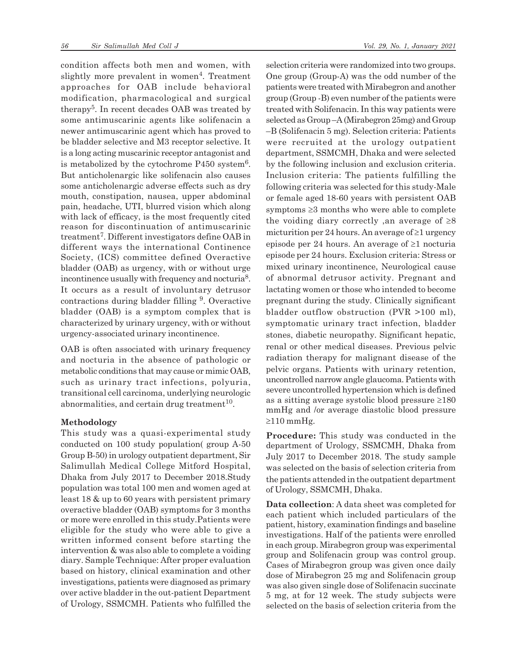condition affects both men and women, with slightly more prevalent in women<sup>4</sup>. Treatment approaches for OAB include behavioral modification, pharmacological and surgical therapy<sup>5</sup>. In recent decades OAB was treated by some antimuscarinic agents like solifenacin a newer antimuscarinic agent which has proved to be bladder selective and M3 receptor selective. It is a long acting muscarinic receptor antagonist and is metabolized by the cytochrome  $P450$  system<sup>6</sup>. But anticholenargic like solifenacin also causes some anticholenargic adverse effects such as dry mouth, constipation, nausea, upper abdominal pain, headache, UTI, blurred vision which along with lack of efficacy, is the most frequently cited reason for discontinuation of antimuscarinic treatment<sup>7</sup> . Different investigators define OAB in different ways the international Continence Society, (ICS) committee defined Overactive bladder (OAB) as urgency, with or without urge incontinence usually with frequency and nocturia<sup>8</sup>. It occurs as a result of involuntary detrusor contractions during bladder filling <sup>9</sup>. Overactive bladder (OAB) is a symptom complex that is characterized by urinary urgency, with or without urgency-associated urinary incontinence.

OAB is often associated with urinary frequency and nocturia in the absence of pathologic or metabolic conditions that may cause or mimic OAB, such as urinary tract infections, polyuria, transitional cell carcinoma, underlying neurologic abnormalities, and certain drug treatment $10$ .

## **Methodology**

This study was a quasi-experimental study conducted on 100 study population( group A-50 Group B-50) in urology outpatient department, Sir Salimullah Medical College Mitford Hospital, Dhaka from July 2017 to December 2018.Study population was total 100 men and women aged at least 18 & up to 60 years with persistent primary overactive bladder (OAB) symptoms for 3 months or more were enrolled in this study.Patients were eligible for the study who were able to give a written informed consent before starting the intervention & was also able to complete a voiding diary. Sample Technique: After proper evaluation based on history, clinical examination and other investigations, patients were diagnosed as primary over active bladder in the out-patient Department of Urology, SSMCMH. Patients who fulfilled the selection criteria were randomized into two groups. One group (Group-A) was the odd number of the patients were treated with Mirabegron and another group (Group -B) even number of the patients were treated with Solifenacin. In this way patients were selected as Group –A (Mirabegron 25mg) and Group –B (Solifenacin 5 mg). Selection criteria: Patients were recruited at the urology outpatient department, SSMCMH, Dhaka and were selected by the following inclusion and exclusion criteria. Inclusion criteria: The patients fulfilling the following criteria was selected for this study-Male or female aged 18-60 years with persistent OAB symptoms  $\geq$ 3 months who were able to complete the voiding diary correctly , an average of  $\geq 8$ micturition per 24 hours. An average of  $\geq 1$  urgency episode per 24 hours. An average of  $\geq 1$  nocturia episode per 24 hours. Exclusion criteria: Stress or mixed urinary incontinence, Neurological cause of abnormal detrusor activity. Pregnant and lactating women or those who intended to become pregnant during the study. Clinically significant bladder outflow obstruction (PVR >100 ml), symptomatic urinary tract infection, bladder stones, diabetic neuropathy. Significant hepatic, renal or other medical diseases. Previous pelvic radiation therapy for malignant disease of the pelvic organs. Patients with urinary retention, uncontrolled narrow angle glaucoma. Patients with severe uncontrolled hypertension which is defined as a sitting average systolic blood pressure  $\geq 180$ mmHg and /or average diastolic blood pressure  $\geq$ 110 mmHg.

**Procedure:** This study was conducted in the department of Urology, SSMCMH, Dhaka from July 2017 to December 2018. The study sample was selected on the basis of selection criteria from the patients attended in the outpatient department of Urology, SSMCMH, Dhaka.

**Data collection**: A data sheet was completed for each patient which included particulars of the patient, history, examination findings and baseline investigations. Half of the patients were enrolled in each group. Mirabegron group was experimental group and Solifenacin group was control group. Cases of Mirabegron group was given once daily dose of Mirabegron 25 mg and Solifenacin group was also given single dose of Solifenacin succinate 5 mg, at for 12 week. The study subjects were selected on the basis of selection criteria from the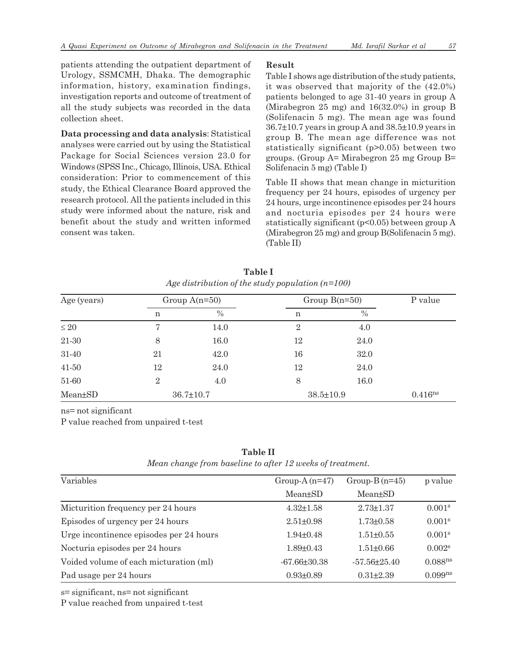patients attending the outpatient department of Urology, SSMCMH, Dhaka. The demographic information, history, examination findings, investigation reports and outcome of treatment of all the study subjects was recorded in the data collection sheet.

**Data processing and data analysis**: Statistical analyses were carried out by using the Statistical Package for Social Sciences version 23.0 for Windows (SPSS Inc., Chicago, Illinois, USA. Ethical consideration: Prior to commencement of this study, the Ethical Clearance Board approved the research protocol. All the patients included in this study were informed about the nature, risk and benefit about the study and written informed consent was taken.

# **Result**

Table I shows age distribution of the study patients, it was observed that majority of the (42.0%) patients belonged to age 31-40 years in group A (Mirabegron 25 mg) and 16(32.0%) in group B (Solifenacin 5 mg). The mean age was found 36.7±10.7 years in group A and 38.5±10.9 years in group B. The mean age difference was not statistically significant (p>0.05) between two groups. (Group A= Mirabegron 25 mg Group B= Solifenacin 5 mg) (Table I)

Table II shows that mean change in micturition frequency per 24 hours, episodes of urgency per 24 hours, urge incontinence episodes per 24 hours and nocturia episodes per 24 hours were statistically significant  $(p<0.05)$  between group A (Mirabegron 25 mg) and group B(Solifenacin 5 mg). (Table II)

| Age (years) | Group $A(n=50)$ |                 | Group $B(n=50)$ |      | P value             |
|-------------|-----------------|-----------------|-----------------|------|---------------------|
|             | n               | $\%$            | n               | $\%$ |                     |
| $\leq 20$   | 7               | 14.0            | $\overline{2}$  | 4.0  |                     |
| $21-30$     | 8               | 16.0            | 12              | 24.0 |                     |
| 31-40       | 21              | 42.0            | 16              | 32.0 |                     |
| $41 - 50$   | 12              | 24.0            | 12              | 24.0 |                     |
| 51-60       | $\overline{2}$  | 4.0             | 8               | 16.0 |                     |
| Mean±SD     |                 | $36.7 \pm 10.7$ | $38.5 \pm 10.9$ |      | 0.416 <sup>ns</sup> |

**Table I** *Age distribution of the study population (n=100)*

ns= not significant

P value reached from unpaired t-test

## **Table II**

*Mean change from baseline to after 12 weeks of treatment.*

| Variables                               | Group-A $(n=47)$     | Group- $B(n=45)$ | p value             |
|-----------------------------------------|----------------------|------------------|---------------------|
|                                         | Mean <sup>+</sup> SD | $Mean \pm SD$    |                     |
| Micturition frequency per 24 hours      | $4.32 \pm 1.58$      | $2.73 \pm 1.37$  | 0.001 <sup>s</sup>  |
| Episodes of urgency per 24 hours        | $2.51 \pm 0.98$      | $1.73 \pm 0.58$  | 0.001 <sup>s</sup>  |
| Urge incontinence episodes per 24 hours | $1.94 \pm 0.48$      | $1.51 + 0.55$    | 0.001 <sup>s</sup>  |
| Nocturia episodes per 24 hours          | $1.89 \pm 0.43$      | $1.51 \pm 0.66$  | 0.002 <sup>s</sup>  |
| Voided volume of each micturation (ml)  | $-67.66 \pm 30.38$   | $-57.56 + 25.40$ | 0.088 <sup>ns</sup> |
| Pad usage per 24 hours                  | $0.93 \pm 0.89$      | $0.31 \pm 2.39$  | 0.099 <sup>ns</sup> |

s= significant, ns= not significant

P value reached from unpaired t-test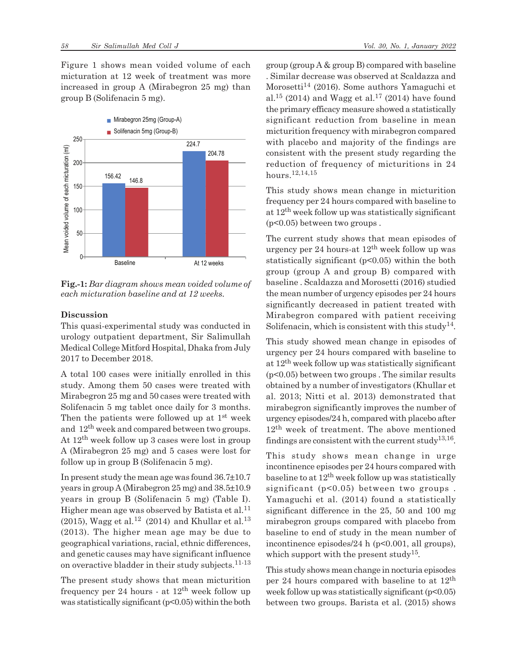Figure 1 shows mean voided volume of each micturation at 12 week of treatment was more increased in group A (Mirabegron 25 mg) than group B (Solifenacin 5 mg).



**Fig.-1:** *Bar diagram shows mean voided volume of each micturation baseline and at 12 weeks.*

## **Discussion**

This quasi-experimental study was conducted in urology outpatient department, Sir Salimullah Medical College Mitford Hospital, Dhaka from July 2017 to December 2018.

A total 100 cases were initially enrolled in this study. Among them 50 cases were treated with Mirabegron 25 mg and 50 cases were treated with Solifenacin 5 mg tablet once daily for 3 months. Then the patients were followed up at  $1<sup>st</sup>$  week and 12th week and compared between two groups. At 12th week follow up 3 cases were lost in group A (Mirabegron 25 mg) and 5 cases were lost for follow up in group B (Solifenacin 5 mg).

In present study the mean age was found 36.7±10.7 years in group A (Mirabegron 25 mg) and 38.5±10.9 years in group B (Solifenacin 5 mg) (Table I). Higher mean age was observed by Batista et al.<sup>11</sup> (2015), Wagg et al.<sup>12</sup> (2014) and Khullar et al.<sup>13</sup> (2013). The higher mean age may be due to geographical variations, racial, ethnic differences, and genetic causes may have significant influence on overactive bladder in their study subjects.11-13

The present study shows that mean micturition frequency per 24 hours - at  $12<sup>th</sup>$  week follow up was statistically significant (p<0.05) within the both group (group A & group B) compared with baseline . Similar decrease was observed at Scaldazza and Morosetti<sup>14</sup> (2016). Some authors Yamaguchi et al.<sup>15</sup> (2014) and Wagg et al.<sup>17</sup> (2014) have found the primary efficacy measure showed a statistically significant reduction from baseline in mean micturition frequency with mirabegron compared with placebo and majority of the findings are consistent with the present study regarding the reduction of frequency of micturitions in 24 hours.12,14,15

This study shows mean change in micturition frequency per 24 hours compared with baseline to at 12th week follow up was statistically significant (p<0.05) between two groups .

The current study shows that mean episodes of urgency per 24 hours-at  $12<sup>th</sup>$  week follow up was statistically significant (p<0.05) within the both group (group A and group B) compared with baseline . Scaldazza and Morosetti (2016) studied the mean number of urgency episodes per 24 hours significantly decreased in patient treated with Mirabegron compared with patient receiving Solifenacin, which is consistent with this study<sup>14</sup>.

This study showed mean change in episodes of urgency per 24 hours compared with baseline to at 12th week follow up was statistically significant (p<0.05) between two groups . The similar results obtained by a number of investigators (Khullar et al. 2013; Nitti et al. 2013) demonstrated that mirabegron significantly improves the number of urgency episodes/24 h, compared with placebo after 12<sup>th</sup> week of treatment. The above mentioned findings are consistent with the current study<sup>13,16</sup>.

This study shows mean change in urge incontinence episodes per 24 hours compared with baseline to at  $12<sup>th</sup>$  week follow up was statistically significant (p<0.05) between two groups. Yamaguchi et al. (2014) found a statistically significant difference in the 25, 50 and 100 mg mirabegron groups compared with placebo from baseline to end of study in the mean number of incontinence episodes/24 h (p<0.001, all groups), which support with the present study<sup>15</sup>.

This study shows mean change in nocturia episodes per 24 hours compared with baseline to at 12th week follow up was statistically significant  $(p<0.05)$ between two groups. Barista et al. (2015) shows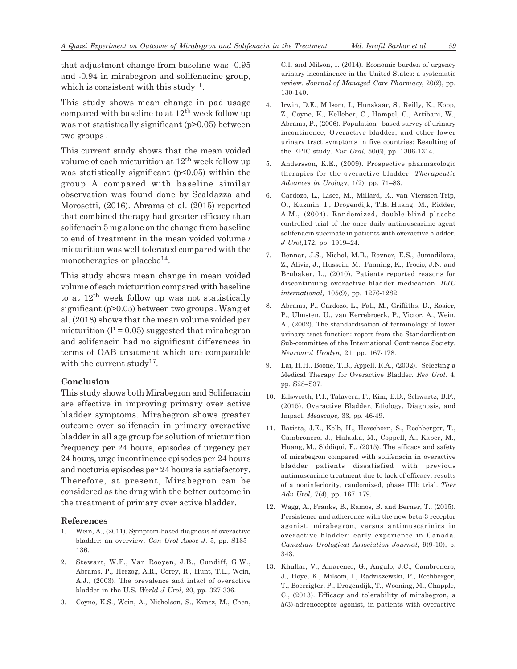that adjustment change from baseline was -0.95 and -0.94 in mirabegron and solifenacine group, which is consistent with this study<sup>11</sup>.

This study shows mean change in pad usage compared with baseline to at  $12<sup>th</sup>$  week follow up was not statistically significant (p>0.05) between two groups .

This current study shows that the mean voided volume of each micturition at 12th week follow up was statistically significant  $(p<0.05)$  within the group A compared with baseline similar observation was found done by Scaldazza and Morosetti, (2016). Abrams et al. (2015) reported that combined therapy had greater efficacy than solifenacin 5 mg alone on the change from baseline to end of treatment in the mean voided volume / micturition was well tolerated compared with the monotherapies or placebo<sup>14</sup>.

This study shows mean change in mean voided volume of each micturition compared with baseline to at  $12<sup>th</sup>$  week follow up was not statistically significant (p>0.05) between two groups . Wang et al. (2018) shows that the mean volume voided per micturition  $(P = 0.05)$  suggested that mirabegron and solifenacin had no significant differences in terms of OAB treatment which are comparable with the current study<sup>17</sup>.

#### **Conclusion**

This study shows both Mirabegron and Solifenacin are effective in improving primary over active bladder symptoms. Mirabegron shows greater outcome over solifenacin in primary overactive bladder in all age group for solution of micturition frequency per 24 hours, episodes of urgency per 24 hours, urge incontinence episodes per 24 hours and nocturia episodes per 24 hours is satisfactory. Therefore, at present, Mirabegron can be considered as the drug with the better outcome in the treatment of primary over active bladder.

#### **References**

- 1. Wein, A., (2011). Symptom-based diagnosis of overactive bladder: an overview. *Can Urol Assoc J*. 5, pp. S135– 136.
- 2. Stewart, W.F., Van Rooyen, J.B., Cundiff, G.W., Abrams, P., Herzog, A.R., Corey, R., Hunt, T.L., Wein, A.J., (2003). The prevalence and intact of overactive bladder in the U.S. *World J Urol*, 20, pp. 327-336.
- 3. Coyne, K.S., Wein, A., Nicholson, S., Kvasz, M., Chen,

C.I. and Milson, I. (2014). Economic burden of urgency urinary incontinence in the United States: a systematic review. *Journal of Managed Care Pharmacy*, 20(2), pp. 130-140.

- 4. Irwin, D.E., Milsom, I., Hunskaar, S., Reilly, K., Kopp, Z., Coyne, K., Kelleher, C., Hampel, C., Artibani, W., Abrams, P., (2006). Population –based survey of urinary incontinence, Overactive bladder, and other lower urinary tract symptoms in five countries: Resulting of the EPIC study. *Eur Ural,* 50(6), pp. 1306-1314.
- 5. Andersson, K.E., (2009). Prospective pharmacologic therapies for the overactive bladder. *Therapeutic Advances in Urology,* 1(2), pp. 71–83.
- 6. Cardozo, L., Lisec, M., Millard, R., van Vierssen-Trip, O., Kuzmin, I., Drogendijk, T.E.,Huang, M., Ridder, A.M., (2004). Randomized, double-blind placebo controlled trial of the once daily antimuscarinic agent solifenacin succinate in patients with overactive bladder. *J Urol,*172, pp. 1919–24.
- 7. Bennar, J.S., Nichol, M.B., Rovner, E.S., Jumadilova, Z., Alivir, J., Hussein, M., Fanning, K., Trocio, J.N. and Brubaker, L., (2010). Patients reported reasons for discontinuing overactive bladder medication. *BJU international,* 105(9), pp. 1276-1282
- 8. Abrams, P., Cardozo, L., Fall, M., Griffiths, D., Rosier, P., Ulmsten, U., van Kerrebroeck, P., Victor, A., Wein, A., (2002). The standardisation of terminology of lower urinary tract function: report from the Standardisation Sub-committee of the International Continence Society. *Neurourol Urodyn,* 21, pp. 167-178.
- 9. Lai, H.H., Boone, T.B., Appell, R.A., (2002). Selecting a Medical Therapy for Overactive Bladder. *Rev Urol.* 4, pp. S28–S37.
- 10. Ellsworth, P.I., Talavera, F., Kim, E.D., Schwartz, B.F., (2015). Overactive Bladder, Etiology, Diagnosis, and Impact. *Medscape,* 33, pp. 46-49.
- 11. Batista, J.E., Kolb, H., Herschorn, S., Rechberger, T., Cambronero, J., Halaska, M., Coppell, A., Kaper, M., Huang, M., Siddiqui, E., (2015). The efficacy and safety of mirabegron compared with solifenacin in overactive bladder patients dissatisfied with previous antimuscarinic treatment due to lack of efficacy: results of a noninferiority, randomized, phase IIIb trial. *Ther Adv Urol,* 7(4), pp. 167–179.
- 12. Wagg, A., Franks, B., Ramos, B. and Berner, T., (2015). Persistence and adherence with the new beta-3 receptor agonist, mirabegron, versus antimuscarinics in overactive bladder: early experience in Canada. *Canadian Urological Association Journal,* 9(9-10), p. 343.
- 13. Khullar, V., Amarenco, G., Angulo, J.C., Cambronero, J., Hoye, K., Milsom, I., Radziszewski, P., Rechberger, T., Boerrigter, P., Drogendijk, T., Wooning, M., Chapple, C., (2013). Efficacy and tolerability of mirabegron, a â(3)-adrenoceptor agonist, in patients with overactive